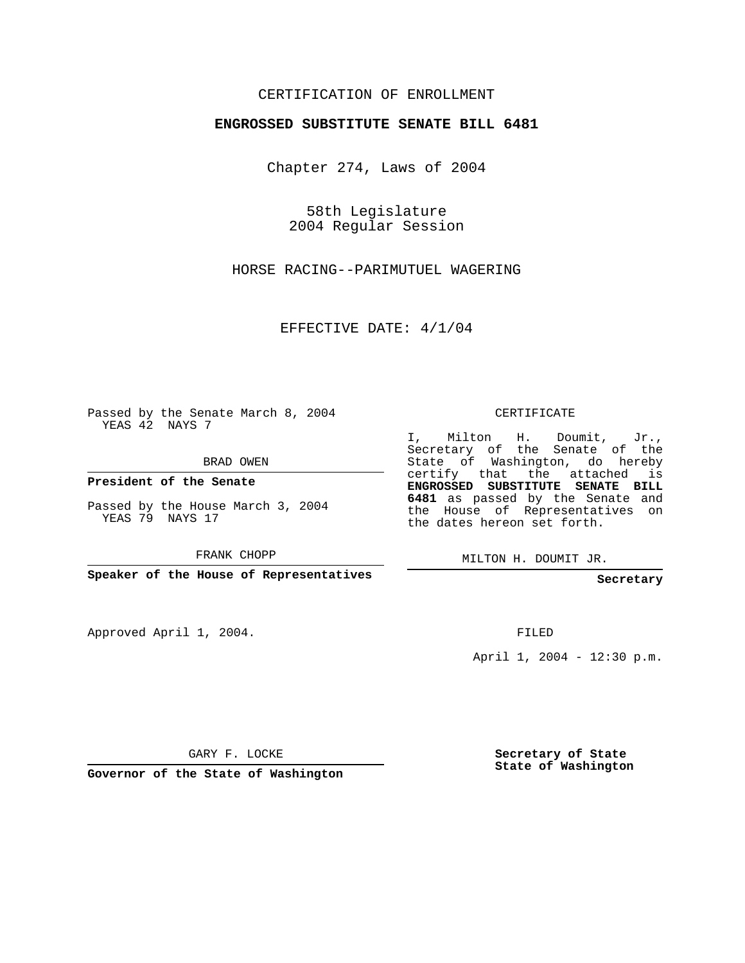## CERTIFICATION OF ENROLLMENT

## **ENGROSSED SUBSTITUTE SENATE BILL 6481**

Chapter 274, Laws of 2004

58th Legislature 2004 Regular Session

HORSE RACING--PARIMUTUEL WAGERING

EFFECTIVE DATE: 4/1/04

Passed by the Senate March 8, 2004 YEAS 42 NAYS 7

BRAD OWEN

**President of the Senate**

Passed by the House March 3, 2004 YEAS 79 NAYS 17

FRANK CHOPP

**Speaker of the House of Representatives**

Approved April 1, 2004.

CERTIFICATE

I, Milton H. Doumit, Jr., Secretary of the Senate of the State of Washington, do hereby certify that the attached is **ENGROSSED SUBSTITUTE SENATE BILL 6481** as passed by the Senate and the House of Representatives on the dates hereon set forth.

MILTON H. DOUMIT JR.

**Secretary**

FILED

April 1, 2004 - 12:30 p.m.

GARY F. LOCKE

**Governor of the State of Washington**

**Secretary of State State of Washington**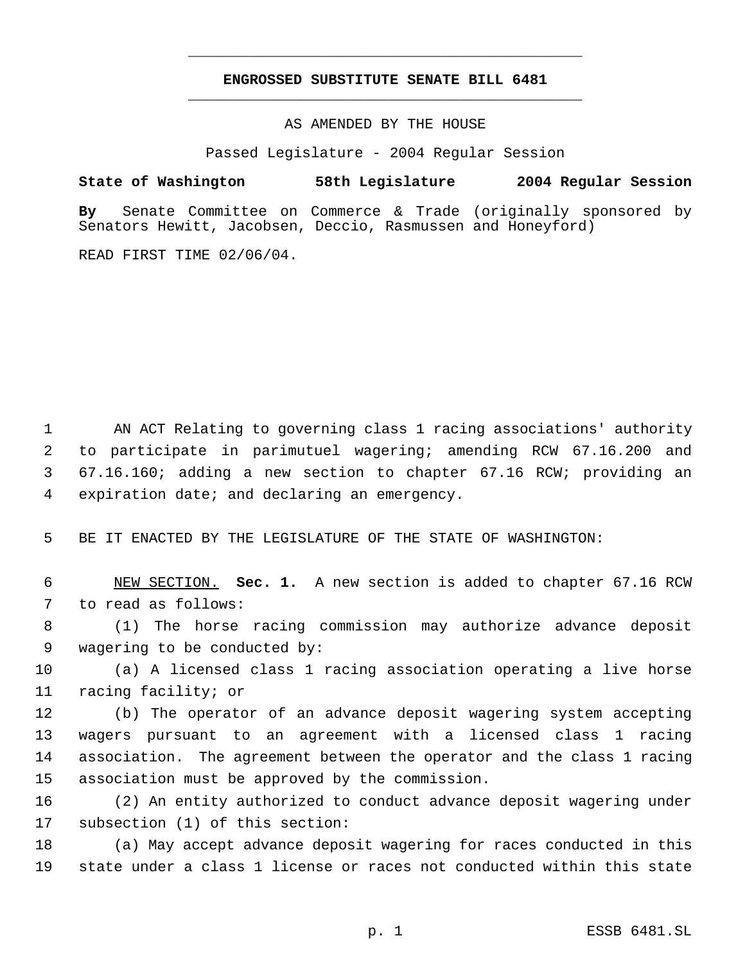## **ENGROSSED SUBSTITUTE SENATE BILL 6481** \_\_\_\_\_\_\_\_\_\_\_\_\_\_\_\_\_\_\_\_\_\_\_\_\_\_\_\_\_\_\_\_\_\_\_\_\_\_\_\_\_\_\_\_\_

\_\_\_\_\_\_\_\_\_\_\_\_\_\_\_\_\_\_\_\_\_\_\_\_\_\_\_\_\_\_\_\_\_\_\_\_\_\_\_\_\_\_\_\_\_

AS AMENDED BY THE HOUSE

Passed Legislature - 2004 Regular Session

## **State of Washington 58th Legislature 2004 Regular Session**

**By** Senate Committee on Commerce & Trade (originally sponsored by Senators Hewitt, Jacobsen, Deccio, Rasmussen and Honeyford)

READ FIRST TIME 02/06/04.

 AN ACT Relating to governing class 1 racing associations' authority to participate in parimutuel wagering; amending RCW 67.16.200 and 67.16.160; adding a new section to chapter 67.16 RCW; providing an expiration date; and declaring an emergency.

BE IT ENACTED BY THE LEGISLATURE OF THE STATE OF WASHINGTON:

 NEW SECTION. **Sec. 1.** A new section is added to chapter 67.16 RCW to read as follows:

 (1) The horse racing commission may authorize advance deposit wagering to be conducted by:

 (a) A licensed class 1 racing association operating a live horse racing facility; or

 (b) The operator of an advance deposit wagering system accepting wagers pursuant to an agreement with a licensed class 1 racing association. The agreement between the operator and the class 1 racing association must be approved by the commission.

 (2) An entity authorized to conduct advance deposit wagering under subsection (1) of this section:

 (a) May accept advance deposit wagering for races conducted in this state under a class 1 license or races not conducted within this state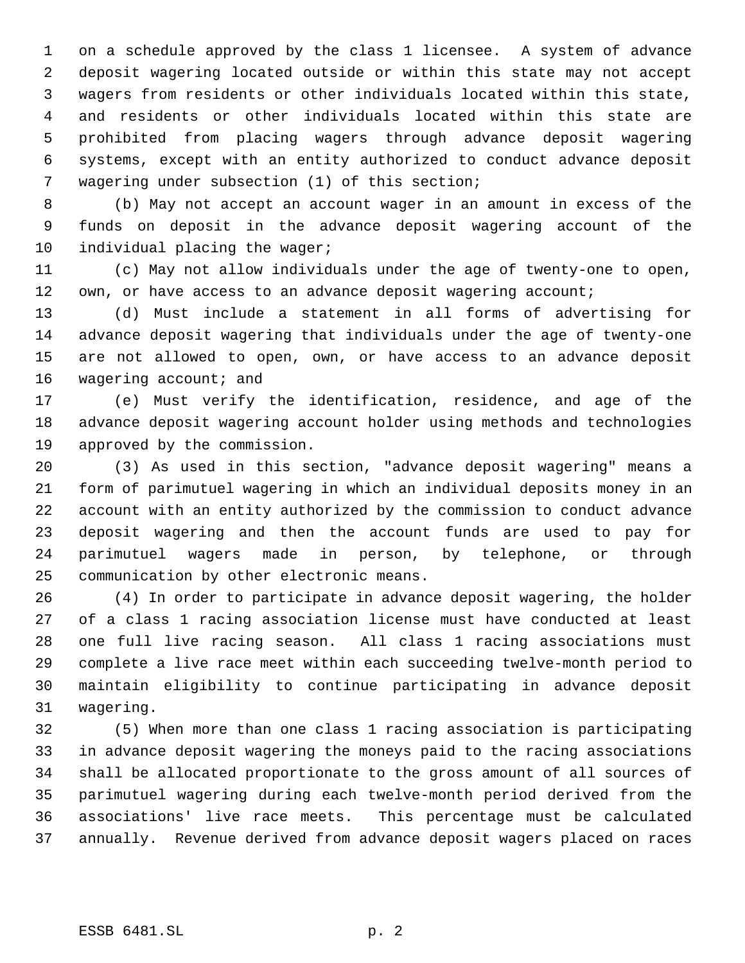on a schedule approved by the class 1 licensee. A system of advance deposit wagering located outside or within this state may not accept wagers from residents or other individuals located within this state, and residents or other individuals located within this state are prohibited from placing wagers through advance deposit wagering systems, except with an entity authorized to conduct advance deposit wagering under subsection (1) of this section;

 (b) May not accept an account wager in an amount in excess of the funds on deposit in the advance deposit wagering account of the 10 individual placing the wager;

 (c) May not allow individuals under the age of twenty-one to open, 12 own, or have access to an advance deposit wagering account;

 (d) Must include a statement in all forms of advertising for advance deposit wagering that individuals under the age of twenty-one are not allowed to open, own, or have access to an advance deposit 16 wagering account; and

 (e) Must verify the identification, residence, and age of the advance deposit wagering account holder using methods and technologies approved by the commission.

 (3) As used in this section, "advance deposit wagering" means a form of parimutuel wagering in which an individual deposits money in an account with an entity authorized by the commission to conduct advance deposit wagering and then the account funds are used to pay for parimutuel wagers made in person, by telephone, or through communication by other electronic means.

 (4) In order to participate in advance deposit wagering, the holder of a class 1 racing association license must have conducted at least one full live racing season. All class 1 racing associations must complete a live race meet within each succeeding twelve-month period to maintain eligibility to continue participating in advance deposit wagering.

 (5) When more than one class 1 racing association is participating in advance deposit wagering the moneys paid to the racing associations shall be allocated proportionate to the gross amount of all sources of parimutuel wagering during each twelve-month period derived from the associations' live race meets. This percentage must be calculated annually. Revenue derived from advance deposit wagers placed on races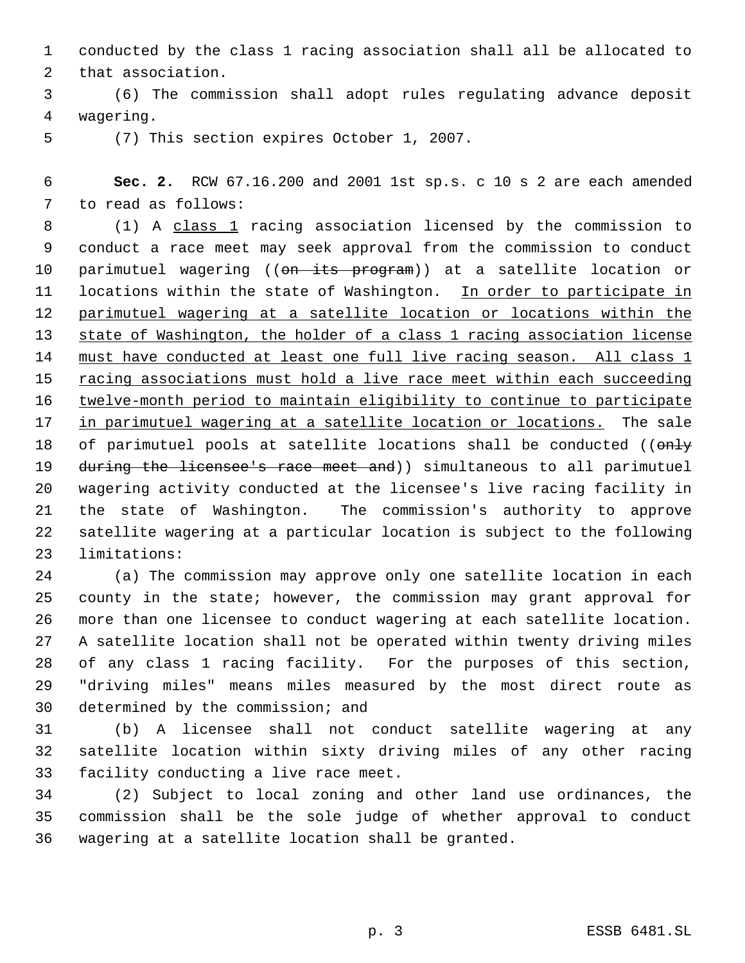conducted by the class 1 racing association shall all be allocated to that association.

 (6) The commission shall adopt rules regulating advance deposit wagering.

(7) This section expires October 1, 2007.

 **Sec. 2.** RCW 67.16.200 and 2001 1st sp.s. c 10 s 2 are each amended to read as follows:

8 (1) A class 1 racing association licensed by the commission to conduct a race meet may seek approval from the commission to conduct 10 parimutuel wagering ((on its program)) at a satellite location or 11 locations within the state of Washington. In order to participate in parimutuel wagering at a satellite location or locations within the state of Washington, the holder of a class 1 racing association license 14 must have conducted at least one full live racing season. All class 1 15 racing associations must hold a live race meet within each succeeding twelve-month period to maintain eligibility to continue to participate 17 in parimutuel wagering at a satellite location or locations. The sale 18 of parimutuel pools at satellite locations shall be conducted ((only 19 during the licensee's race meet and)) simultaneous to all parimutuel wagering activity conducted at the licensee's live racing facility in the state of Washington. The commission's authority to approve satellite wagering at a particular location is subject to the following limitations:

 (a) The commission may approve only one satellite location in each county in the state; however, the commission may grant approval for more than one licensee to conduct wagering at each satellite location. A satellite location shall not be operated within twenty driving miles of any class 1 racing facility. For the purposes of this section, "driving miles" means miles measured by the most direct route as determined by the commission; and

 (b) A licensee shall not conduct satellite wagering at any satellite location within sixty driving miles of any other racing facility conducting a live race meet.

 (2) Subject to local zoning and other land use ordinances, the commission shall be the sole judge of whether approval to conduct wagering at a satellite location shall be granted.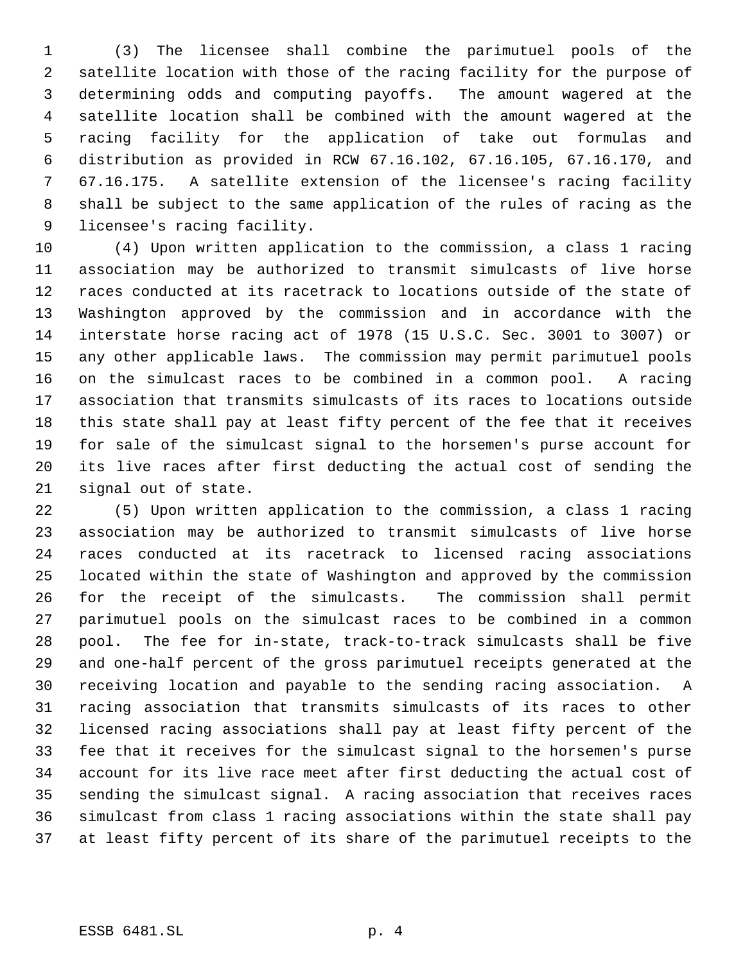(3) The licensee shall combine the parimutuel pools of the satellite location with those of the racing facility for the purpose of determining odds and computing payoffs. The amount wagered at the satellite location shall be combined with the amount wagered at the racing facility for the application of take out formulas and distribution as provided in RCW 67.16.102, 67.16.105, 67.16.170, and 67.16.175. A satellite extension of the licensee's racing facility shall be subject to the same application of the rules of racing as the licensee's racing facility.

 (4) Upon written application to the commission, a class 1 racing association may be authorized to transmit simulcasts of live horse races conducted at its racetrack to locations outside of the state of Washington approved by the commission and in accordance with the interstate horse racing act of 1978 (15 U.S.C. Sec. 3001 to 3007) or any other applicable laws. The commission may permit parimutuel pools on the simulcast races to be combined in a common pool. A racing association that transmits simulcasts of its races to locations outside this state shall pay at least fifty percent of the fee that it receives for sale of the simulcast signal to the horsemen's purse account for its live races after first deducting the actual cost of sending the signal out of state.

 (5) Upon written application to the commission, a class 1 racing association may be authorized to transmit simulcasts of live horse races conducted at its racetrack to licensed racing associations located within the state of Washington and approved by the commission for the receipt of the simulcasts. The commission shall permit parimutuel pools on the simulcast races to be combined in a common pool. The fee for in-state, track-to-track simulcasts shall be five and one-half percent of the gross parimutuel receipts generated at the receiving location and payable to the sending racing association. A racing association that transmits simulcasts of its races to other licensed racing associations shall pay at least fifty percent of the fee that it receives for the simulcast signal to the horsemen's purse account for its live race meet after first deducting the actual cost of sending the simulcast signal. A racing association that receives races simulcast from class 1 racing associations within the state shall pay at least fifty percent of its share of the parimutuel receipts to the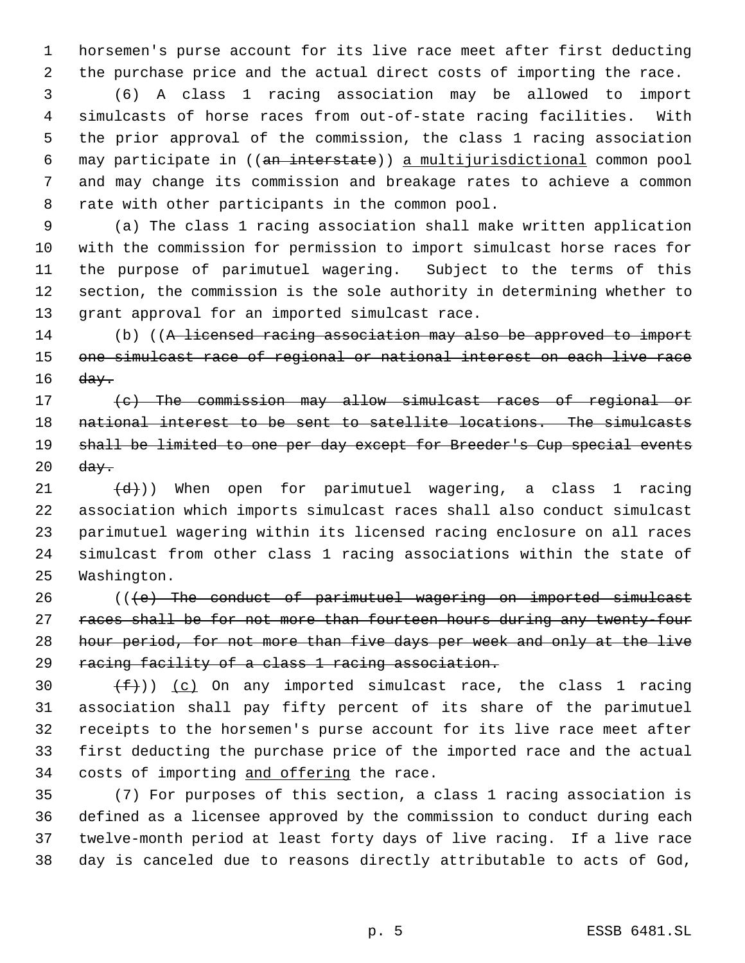horsemen's purse account for its live race meet after first deducting the purchase price and the actual direct costs of importing the race.

 (6) A class 1 racing association may be allowed to import simulcasts of horse races from out-of-state racing facilities. With the prior approval of the commission, the class 1 racing association may participate in ((an interstate)) a multijurisdictional common pool and may change its commission and breakage rates to achieve a common rate with other participants in the common pool.

 (a) The class 1 racing association shall make written application with the commission for permission to import simulcast horse races for the purpose of parimutuel wagering. Subject to the terms of this section, the commission is the sole authority in determining whether to grant approval for an imported simulcast race.

14 (b) ((A licensed racing association may also be approved to import one simulcast race of regional or national interest on each live race day.

17 (c) The commission may allow simulcast races of regional or national interest to be sent to satellite locations. The simulcasts 19 shall be limited to one per day except for Breeder's Cup special events  $\frac{day}{}$ 

 $(d)$ )) When open for parimutuel wagering, a class 1 racing association which imports simulcast races shall also conduct simulcast parimutuel wagering within its licensed racing enclosure on all races simulcast from other class 1 racing associations within the state of Washington.

26 (((e) The conduct of parimutuel wagering on imported simulcast 27 races shall be for not more than fourteen hours during any twenty four hour period, for not more than five days per week and only at the live 29 racing facility of a class 1 racing association.

 $(f)$ ) (c) On any imported simulcast race, the class 1 racing association shall pay fifty percent of its share of the parimutuel receipts to the horsemen's purse account for its live race meet after first deducting the purchase price of the imported race and the actual 34 costs of importing and offering the race.

 (7) For purposes of this section, a class 1 racing association is defined as a licensee approved by the commission to conduct during each twelve-month period at least forty days of live racing. If a live race day is canceled due to reasons directly attributable to acts of God,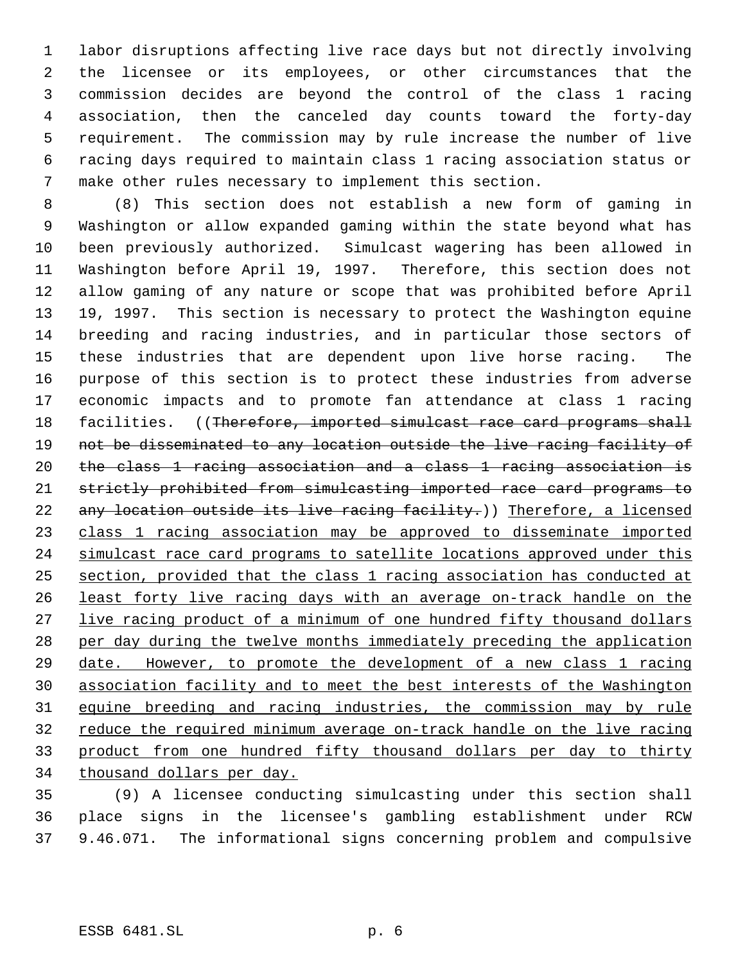labor disruptions affecting live race days but not directly involving the licensee or its employees, or other circumstances that the commission decides are beyond the control of the class 1 racing association, then the canceled day counts toward the forty-day requirement. The commission may by rule increase the number of live racing days required to maintain class 1 racing association status or make other rules necessary to implement this section.

 (8) This section does not establish a new form of gaming in Washington or allow expanded gaming within the state beyond what has been previously authorized. Simulcast wagering has been allowed in Washington before April 19, 1997. Therefore, this section does not allow gaming of any nature or scope that was prohibited before April 19, 1997. This section is necessary to protect the Washington equine breeding and racing industries, and in particular those sectors of these industries that are dependent upon live horse racing. The purpose of this section is to protect these industries from adverse economic impacts and to promote fan attendance at class 1 racing 18 facilities. ((Therefore, imported simulcast race card programs shall not be disseminated to any location outside the live racing facility of the class 1 racing association and a class 1 racing association is strictly prohibited from simulcasting imported race card programs to 22 any location outside its live racing facility.)) Therefore, a licensed class 1 racing association may be approved to disseminate imported 24 simulcast race card programs to satellite locations approved under this section, provided that the class 1 racing association has conducted at least forty live racing days with an average on-track handle on the 27 live racing product of a minimum of one hundred fifty thousand dollars per day during the twelve months immediately preceding the application date. However, to promote the development of a new class 1 racing association facility and to meet the best interests of the Washington equine breeding and racing industries, the commission may by rule reduce the required minimum average on-track handle on the live racing product from one hundred fifty thousand dollars per day to thirty thousand dollars per day.

 (9) A licensee conducting simulcasting under this section shall place signs in the licensee's gambling establishment under RCW 9.46.071. The informational signs concerning problem and compulsive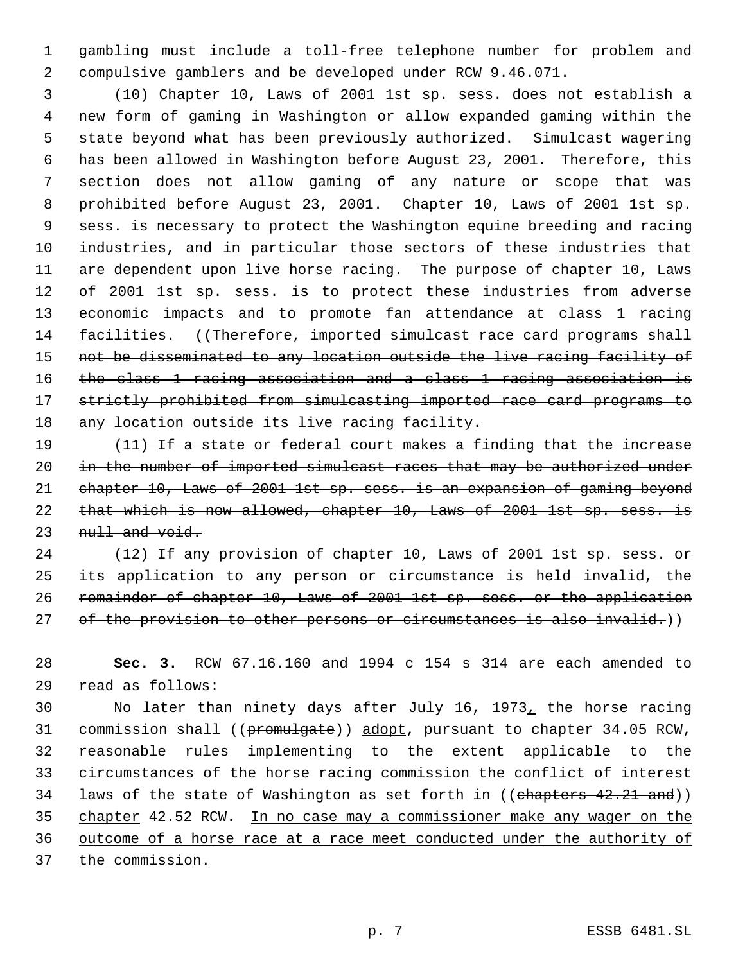gambling must include a toll-free telephone number for problem and compulsive gamblers and be developed under RCW 9.46.071.

 (10) Chapter 10, Laws of 2001 1st sp. sess. does not establish a new form of gaming in Washington or allow expanded gaming within the state beyond what has been previously authorized. Simulcast wagering has been allowed in Washington before August 23, 2001. Therefore, this section does not allow gaming of any nature or scope that was prohibited before August 23, 2001. Chapter 10, Laws of 2001 1st sp. sess. is necessary to protect the Washington equine breeding and racing industries, and in particular those sectors of these industries that are dependent upon live horse racing. The purpose of chapter 10, Laws of 2001 1st sp. sess. is to protect these industries from adverse economic impacts and to promote fan attendance at class 1 racing 14 facilities. ((Therefore, imported simulcast race card programs shall not be disseminated to any location outside the live racing facility of the class 1 racing association and a class 1 racing association is strictly prohibited from simulcasting imported race card programs to 18 any location outside its live racing facility.

19 (11) If a state or federal court makes a finding that the increase 20 in the number of imported simulcast races that may be authorized under chapter 10, Laws of 2001 1st sp. sess. is an expansion of gaming beyond that which is now allowed, chapter 10, Laws of 2001 1st sp. sess. is 23 null and void.

24 (12) If any provision of chapter 10, Laws of 2001 1st sp. sess. or its application to any person or circumstance is held invalid, the remainder of chapter 10, Laws of 2001 1st sp. sess. or the application 27 of the provision to other persons or circumstances is also invalid.))

 **Sec. 3.** RCW 67.16.160 and 1994 c 154 s 314 are each amended to read as follows:

 No later than ninety days after July 16, 1973, the horse racing 31 commission shall ((promulgate)) adopt, pursuant to chapter 34.05 RCW, reasonable rules implementing to the extent applicable to the circumstances of the horse racing commission the conflict of interest 34 laws of the state of Washington as set forth in ((chapters 42.21 and)) chapter 42.52 RCW. In no case may a commissioner make any wager on the outcome of a horse race at a race meet conducted under the authority of 37 the commission.